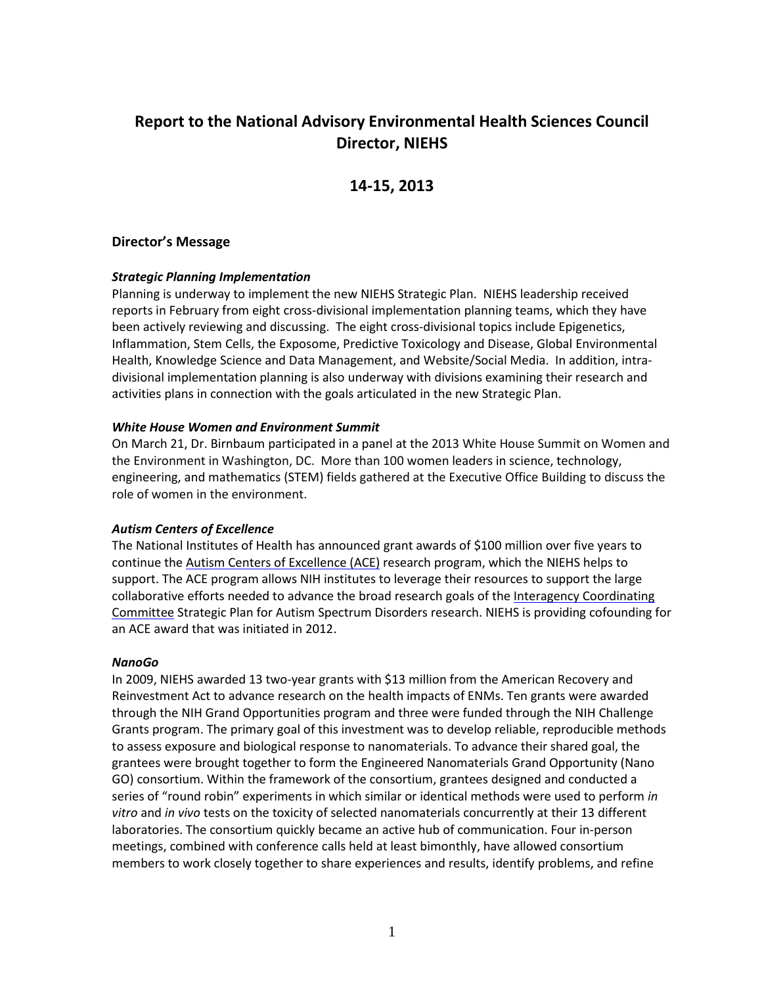# **Report to the National Advisory Environmental Health Sciences Council Director, NIEHS**

## **14-15, 2013**

#### **Director's Message**

#### *Strategic Planning Implementation*

 Planning is underway to implement the new NIEHS Strategic Plan. NIEHS leadership received reports in February from eight cross-divisional implementation planning teams, which they have been actively reviewing and discussing. The eight cross-divisional topics include Epigenetics, Inflammation, Stem Cells, the Exposome, Predictive Toxicology and Disease, Global Environmental Health, Knowledge Science and Data Management, and Website/Social Media. In addition, intradivisional implementation planning is also underway with divisions examining their research and activities plans in connection with the goals articulated in the new Strategic Plan.

#### *White House Women and Environment Summit*

 On March 21, Dr. Birnbaum participated in a panel at the 2013 White House Summit on Women and the Environment in Washington, DC. More than 100 women leaders in science, technology, engineering, and mathematics (STEM) fields gathered at the Executive Office Building to discuss the role of women in the environment.

#### *Autism Centers of Excellence*

 The National Institutes of Health has announced grant awards of \$100 million over five years to Committee Strategic Plan for Autism Spectrum Disorders research. NIEHS is providing cofounding for continue the [Autism Centers of Excellence \(ACE\) r](http://www.nichd.nih.gov/research/supported/ace.cfm)esearch program, which the NIEHS helps to support. The ACE program allows NIH institutes to leverage their resources to support the large collaborative efforts needed to advance the broad research goals of the Interagency Coordinating an ACE award that was initiated in 2012.

#### *NanoGo*

 In 2009, NIEHS awarded 13 two-year grants with \$13 million from the American Recovery and Grants program. The primary goal of this investment was to develop reliable, reproducible methods grantees were brought together to form the Engineered Nanomaterials Grand Opportunity (Nano members to work closely together to share experiences and results, identify problems, and refine Reinvestment Act to advance research on the health impacts of ENMs. Ten grants were awarded through the NIH Grand Opportunities program and three were funded through the NIH Challenge to assess exposure and biological response to nanomaterials. To advance their shared goal, the GO) consortium. Within the framework of the consortium, grantees designed and conducted a series of "round robin" experiments in which similar or identical methods were used to perform *in vitro* and *in vivo* tests on the toxicity of selected nanomaterials concurrently at their 13 different laboratories. The consortium quickly became an active hub of communication. Four in-person meetings, combined with conference calls held at least bimonthly, have allowed consortium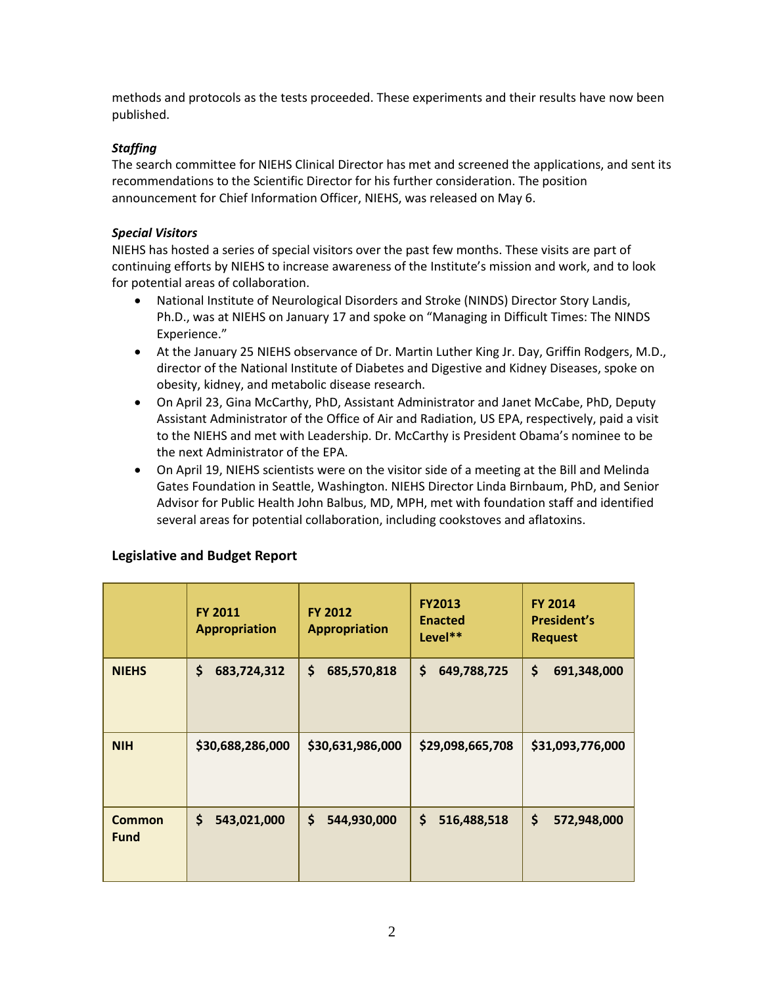published. methods and protocols as the tests proceeded. These experiments and their results have now been

## *Staffing*

 announcement for Chief Information Officer, NIEHS, was released on May 6. The search committee for NIEHS Clinical Director has met and screened the applications, and sent its recommendations to the Scientific Director for his further consideration. The position

#### *Special Visitors*

 continuing efforts by NIEHS to increase awareness of the Institute's mission and work, and to look NIEHS has hosted a series of special visitors over the past few months. These visits are part of for potential areas of collaboration.

- National Institute of Neurological Disorders and Stroke (NINDS) Director Story Landis, Ph.D., was at NIEHS on January 17 and spoke on "Managing in Difficult Times: The NINDS Experience."
- At the January 25 NIEHS observance of Dr. Martin Luther King Jr. Day, Griffin Rodgers, M.D., obesity, kidney, and metabolic disease research. director of the National Institute of Diabetes and Digestive and Kidney Diseases, spoke on
- to the NIEHS and met with Leadership. Dr. McCarthy is President Obama's nominee to be • On April 23, Gina McCarthy, PhD, Assistant Administrator and Janet McCabe, PhD, Deputy Assistant Administrator of the Office of Air and Radiation, US EPA, respectively, paid a visit the next Administrator of the EPA.
- Advisor for Public Health John Balbus, MD, MPH, met with foundation staff and identified several areas for potential collaboration, including cookstoves and aflatoxins. • On April 19, NIEHS scientists were on the visitor side of a meeting at the Bill and Melinda Gates Foundation in Seattle, Washington. NIEHS Director Linda Birnbaum, PhD, and Senior

|               | <b>FY 2011</b><br><b>Appropriation</b> | <b>FY 2012</b><br><b>Appropriation</b> | <b>FY2013</b><br><b>Enacted</b><br>Level** | <b>FY 2014</b><br><b>President's</b><br><b>Request</b> |  |
|---------------|----------------------------------------|----------------------------------------|--------------------------------------------|--------------------------------------------------------|--|
| <b>NIEHS</b>  | \$                                     | \$                                     | \$                                         | \$                                                     |  |
|               | 683,724,312                            | 685,570,818                            | 649,788,725                                | 691,348,000                                            |  |
| <b>NIH</b>    | \$30,688,286,000                       | \$30,631,986,000                       | \$29,098,665,708                           | \$31,093,776,000                                       |  |
| <b>Common</b> | \$                                     | \$                                     | \$                                         | \$                                                     |  |
| <b>Fund</b>   | 543,021,000                            | 544,930,000                            | 516,488,518                                | 572,948,000                                            |  |

## **Legislative and Budget Report**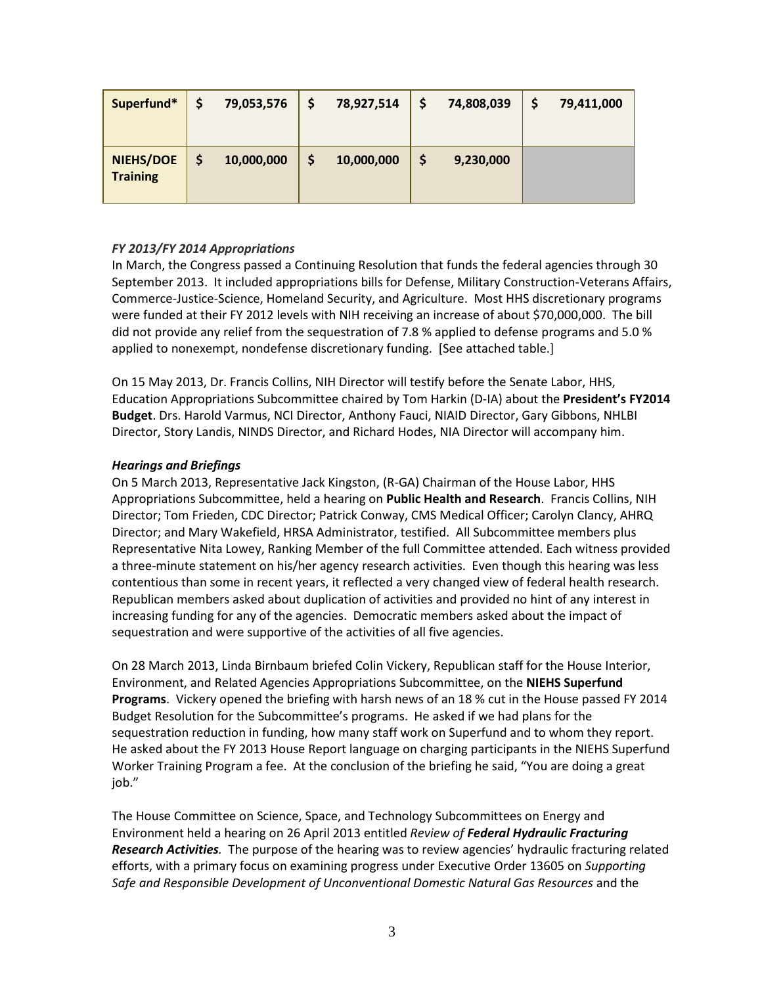| Superfund*                          | 79,053,576 | 78,927,514 | 74,808,039 | 79,411,000 |
|-------------------------------------|------------|------------|------------|------------|
| <b>NIEHS/DOE</b><br><b>Training</b> | 10,000,000 | 10,000,000 | 9,230,000  |            |

## *FY 2013/FY 2014 Appropriations*

 In March, the Congress passed a Continuing Resolution that funds the federal agencies through 30 were funded at their FY 2012 levels with NIH receiving an increase of about \$70,000,000. The bill did not provide any relief from the sequestration of 7.8 % applied to defense programs and 5.0 % September 2013. It included appropriations bills for Defense, Military Construction-Veterans Affairs, Commerce-Justice-Science, Homeland Security, and Agriculture. Most HHS discretionary programs applied to nonexempt, nondefense discretionary funding. [See attached table.]

 On 15 May 2013, Dr. Francis Collins, NIH Director will testify before the Senate Labor, HHS, Education Appropriations Subcommittee chaired by Tom Harkin (D-IA) about the **President's FY2014 Budget**. Drs. Harold Varmus, NCI Director, Anthony Fauci, NIAID Director, Gary Gibbons, NHLBI Director, Story Landis, NINDS Director, and Richard Hodes, NIA Director will accompany him.

#### *Hearings and Briefings*

 On 5 March 2013, Representative Jack Kingston, (R-GA) Chairman of the House Labor, HHS Appropriations Subcommittee, held a hearing on **Public Health and Research**. Francis Collins, NIH Director; Tom Frieden, CDC Director; Patrick Conway, CMS Medical Officer; Carolyn Clancy, AHRQ contentious than some in recent years, it reflected a very changed view of federal health research. increasing funding for any of the agencies. Democratic members asked about the impact of sequestration and were supportive of the activities of all five agencies. Director; and Mary Wakefield, HRSA Administrator, testified. All Subcommittee members plus Representative Nita Lowey, Ranking Member of the full Committee attended. Each witness provided a three-minute statement on his/her agency research activities. Even though this hearing was less Republican members asked about duplication of activities and provided no hint of any interest in

 Environment, and Related Agencies Appropriations Subcommittee, on the **NIEHS Superfund Programs**. Vickery opened the briefing with harsh news of an 18 % cut in the House passed FY 2014 Budget Resolution for the Subcommittee's programs. He asked if we had plans for the sequestration reduction in funding, how many staff work on Superfund and to whom they report. On 28 March 2013, Linda Birnbaum briefed Colin Vickery, Republican staff for the House Interior, He asked about the FY 2013 House Report language on charging participants in the NIEHS Superfund Worker Training Program a fee. At the conclusion of the briefing he said, "You are doing a great job."

 *Research Activities.* The purpose of the hearing was to review agencies' hydraulic fracturing related The House Committee on Science, Space, and Technology Subcommittees on Energy and Environment held a hearing on 26 April 2013 entitled *Review of Federal Hydraulic Fracturing*  efforts, with a primary focus on examining progress under Executive Order 13605 on *Supporting Safe and Responsible Development of Unconventional Domestic Natural Gas Resources* and the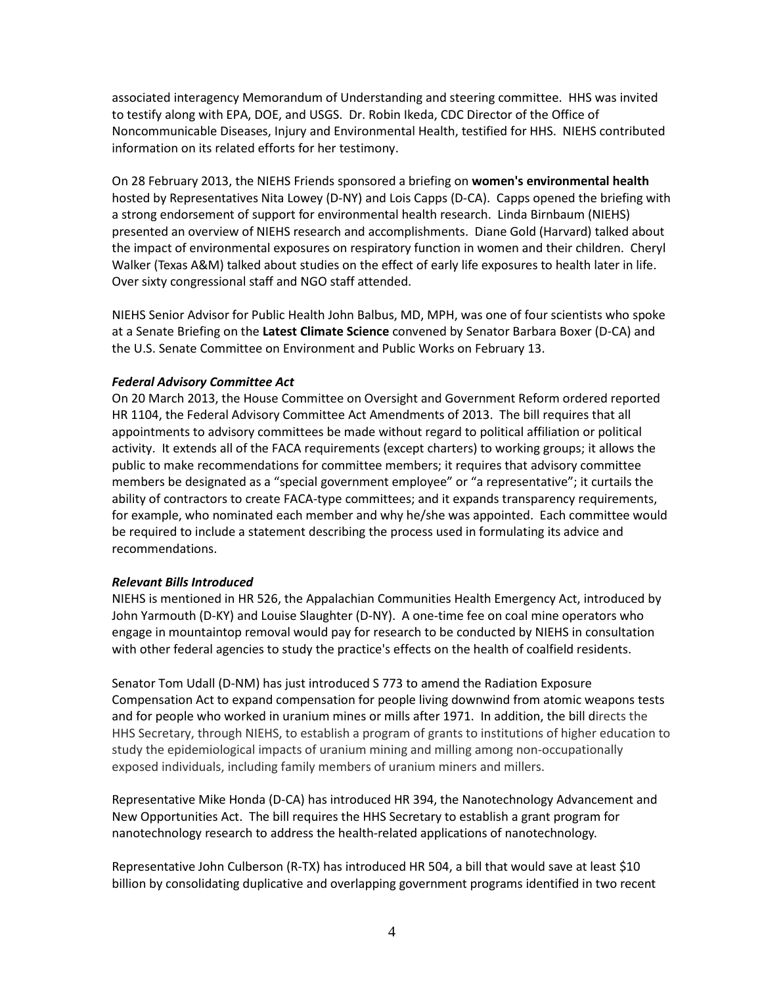to testify along with EPA, DOE, and USGS. Dr. Robin Ikeda, CDC Director of the Office of Noncommunicable Diseases, Injury and Environmental Health, testified for HHS. NIEHS contributed associated interagency Memorandum of Understanding and steering committee. HHS was invited information on its related efforts for her testimony.

 On 28 February 2013, the NIEHS Friends sponsored a briefing on **women's environmental health**  hosted by Representatives Nita Lowey (D-NY) and Lois Capps (D-CA). Capps opened the briefing with presented an overview of NIEHS research and accomplishments. Diane Gold (Harvard) talked about Walker (Texas A&M) talked about studies on the effect of early life exposures to health later in life. a strong endorsement of support for environmental health research. Linda Birnbaum (NIEHS) the impact of environmental exposures on respiratory function in women and their children. Cheryl Over sixty congressional staff and NGO staff attended.

 NIEHS Senior Advisor for Public Health John Balbus, MD, MPH, was one of four scientists who spoke the U.S. Senate Committee on Environment and Public Works on February 13. at a Senate Briefing on the **Latest Climate Science** convened by Senator Barbara Boxer (D-CA) and

#### *Federal Advisory Committee Act*

 On 20 March 2013, the House Committee on Oversight and Government Reform ordered reported HR 1104, the Federal Advisory Committee Act Amendments of 2013. The bill requires that all appointments to advisory committees be made without regard to political affiliation or political activity. It extends all of the FACA requirements (except charters) to working groups; it allows the for example, who nominated each member and why he/she was appointed. Each committee would be required to include a statement describing the process used in formulating its advice and recommendations. public to make recommendations for committee members; it requires that advisory committee members be designated as a "special government employee" or "a representative"; it curtails the ability of contractors to create FACA-type committees; and it expands transparency requirements,

#### *Relevant Bills Introduced*

 NIEHS is mentioned in HR 526, the Appalachian Communities Health Emergency Act, introduced by John Yarmouth (D-KY) and Louise Slaughter (D-NY). A one-time fee on coal mine operators who with other federal agencies to study the practice's effects on the health of coalfield residents. engage in mountaintop removal would pay for research to be conducted by NIEHS in consultation

 and for people who worked in uranium mines or mills after 1971. In addition, the bill directs the HHS Secretary, through NIEHS, to establish a program of grants to institutions of higher education to study the epidemiological impacts of uranium mining and milling among non-occupationally exposed individuals, including family members of uranium miners and millers. Senator Tom Udall (D-NM) has just introduced S 773 to amend the Radiation Exposure Compensation Act to expand compensation for people living downwind from atomic weapons tests

Representative Mike Honda (D-CA) has introduced HR 394, the Nanotechnology Advancement and New Opportunities Act. The bill requires the HHS Secretary to establish a grant program for nanotechnology research to address the health-related applications of nanotechnology.

 Representative John Culberson (R-TX) has introduced HR 504, a bill that would save at least \$10 billion by consolidating duplicative and overlapping government programs identified in two recent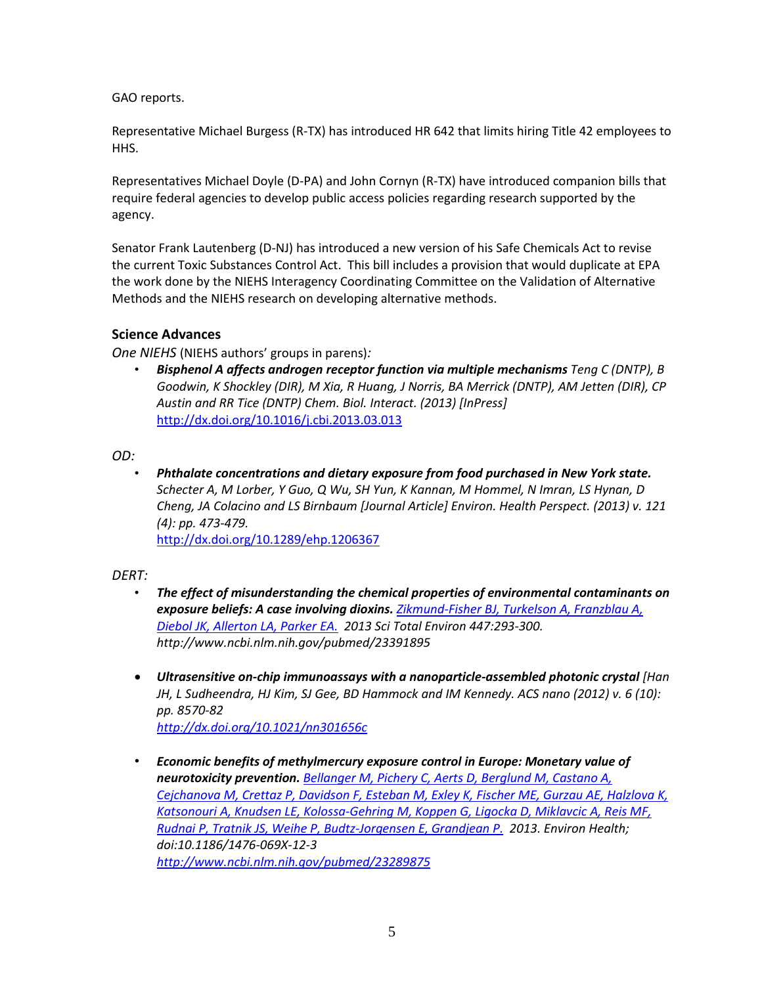GAO reports.

Representative Michael Burgess (R-TX) has introduced HR 642 that limits hiring Title 42 employees to HHS.

Representatives Michael Doyle (D-PA) and John Cornyn (R-TX) have introduced companion bills that require federal agencies to develop public access policies regarding research supported by the agency.

 Senator Frank Lautenberg (D-NJ) has introduced a new version of his Safe Chemicals Act to revise the current Toxic Substances Control Act. This bill includes a provision that would duplicate at EPA the work done by the NIEHS Interagency Coordinating Committee on the Validation of Alternative Methods and the NIEHS research on developing alternative methods.

## **Science Advances**

*One NIEHS* (NIEHS authors' groups in parens)*:* 

 • *Bisphenol A affects androgen receptor function via multiple mechanisms Teng C (DNTP), B Goodwin, K Shockley (DIR), M Xia, R Huang, J Norris, BA Merrick (DNTP), AM Jetten (DIR), CP Austin and RR Tice (DNTP) Chem. Biol. Interact. (2013) [InPress]*  <http://dx.doi.org/10.1016/j.cbi.2013.03.013>

*OD:* 

 *Schecter A, M Lorber, Y Guo, Q Wu, SH Yun, K Kannan, M Hommel, N Imran, LS Hynan, D*  • *Phthalate concentrations and dietary exposure from food purchased in New York state. Cheng, JA Colacino and LS Birnbaum [Journal Article] Environ. Health Perspect. (2013) v. 121 (4): pp. 473-479.*  <http://dx.doi.org/10.1289/ehp.1206367>

*DERT:* 

- The effect of misunderstanding the chemical properties of environmental contaminants on  *[Diebol JK, Allerton LA, Parker EA.](http://www.ncbi.nlm.nih.gov/pubmed/23391895) 2013 Sci Total Environ 447:293-300. http://www.ncbi.nlm.nih.gov/pubmed/23391895 exposure beliefs: A case involving dioxins. [Zikmund-Fisher BJ, Turkelson A, Franzblau A,](http://www.ncbi.nlm.nih.gov/pubmed/23391895)*
- • *Ultrasensitive on-chip immunoassays with a nanoparticle-assembled photonic crystal [Han JH, L Sudheendra, HJ Kim, SJ Gee, BD Hammock and IM Kennedy. ACS nano (2012) v. 6 (10): pp. 8570-82 <http://dx.doi.org/10.1021/nn301656c>*
- *neurotoxicity prevention. [Bellanger M, Pichery C, Aerts D, Berglund M, Castano A,](http://www.ncbi.nlm.nih.gov/pubmed/23289875)  [Katsonouri A, Knudsen LE, Kolossa-Gehring M, Koppen G, Ligocka D, Miklavcic A, Reis MF,](http://www.ncbi.nlm.nih.gov/pubmed/23289875)  [Rudnai P, Tratnik JS, Weihe P, Budtz-Jorgensen E, Grandjean P.](http://www.ncbi.nlm.nih.gov/pubmed/23289875) 2013. Environ Health;*  doi:10.1186/1476-069X-12-3 • *Economic benefits of methylmercury exposure control in Europe: Monetary value of [Cejchanova M, Crettaz P, Davidson F, Esteban M, Exley K, Fischer ME, Gurzau AE, Halzlova K,](http://www.ncbi.nlm.nih.gov/pubmed/23289875)  doi:10.1186/1476-069X-12-3 <http://www.ncbi.nlm.nih.gov/pubmed/23289875>*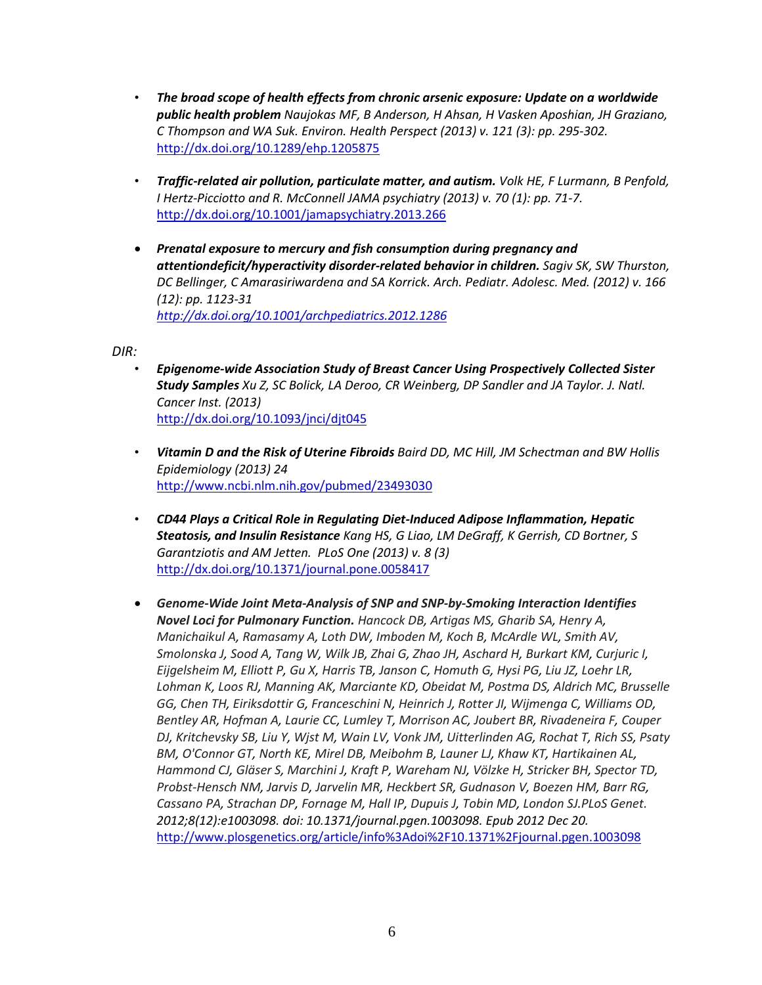- The broad scope of health effects from chronic arsenic exposure: Update on a worldwide *public health problem Naujokas MF, B Anderson, H Ahsan, H Vasken Aposhian, JH Graziano, C Thompson and WA Suk. Environ. Health Perspect (2013) v. 121 (3): pp. 295-302.*  <http://dx.doi.org/10.1289/ehp.1205875>
- *I Hertz-Picciotto and R. McConnell JAMA psychiatry (2013) v. 70 (1): pp. 71-7.*  • *Traffic-related air pollution, particulate matter, and autism. Volk HE, F Lurmann, B Penfold,*  <http://dx.doi.org/10.1001/jamapsychiatry.2013.266>
- **•** Prenatal exposure to mercury and fish consumption during pregnancy and *attentiondeficit/hyperactivity disorder-related behavior in children. Sagiv SK, SW Thurston, DC Bellinger, C Amarasiriwardena and SA Korrick. Arch. Pediatr. Adolesc. Med. (2012) v. 166 (12): pp. 1123-31 <http://dx.doi.org/10.1001/archpediatrics.2012.1286>*

*DIR:* 

- *Study Samples Xu Z, SC Bolick, LA Deroo, CR Weinberg, DP Sandler and JA Taylor. J. Natl.*  • *Epigenome-wide Association Study of Breast Cancer Using Prospectively Collected Sister Cancer Inst. (2013)*  <http://dx.doi.org/10.1093/jnci/djt045>
- *Epidemiology (2013) 24* • *Vitamin D and the Risk of Uterine Fibroids Baird DD, MC Hill, JM Schectman and BW Hollis*  <http://www.ncbi.nlm.nih.gov/pubmed/23493030>
- CD44 Plays a Critical Role in Regulating Diet-Induced Adipose Inflammation, Hepatic  *Steatosis, and Insulin Resistance Kang HS, G Liao, LM DeGraff, K Gerrish, CD Bortner, S Garantziotis and AM Jetten. PLoS One (2013) v. 8 (3)*  <http://dx.doi.org/10.1371/journal.pone.0058417>
- **•** Genome-Wide Joint Meta-Analysis of SNP and SNP-by-Smoking Interaction Identifies  *Novel Loci for Pulmonary Function. [Hancock DB,](http://www.ncbi.nlm.nih.gov/pubmed?term=Hancock%20DB%5BAuthor%5D&cauthor=true&cauthor_uid=23284291) [Artigas MS,](http://www.ncbi.nlm.nih.gov/pubmed?term=Artigas%20MS%5BAuthor%5D&cauthor=true&cauthor_uid=23284291) [Gharib SA,](http://www.ncbi.nlm.nih.gov/pubmed?term=Gharib%20SA%5BAuthor%5D&cauthor=true&cauthor_uid=23284291) [Henry A,](http://www.ncbi.nlm.nih.gov/pubmed?term=Henry%20A%5BAuthor%5D&cauthor=true&cauthor_uid=23284291) [Manichaikul A,](http://www.ncbi.nlm.nih.gov/pubmed?term=Manichaikul%20A%5BAuthor%5D&cauthor=true&cauthor_uid=23284291) [Ramasamy A,](http://www.ncbi.nlm.nih.gov/pubmed?term=Ramasamy%20A%5BAuthor%5D&cauthor=true&cauthor_uid=23284291) [Loth DW,](http://www.ncbi.nlm.nih.gov/pubmed?term=Loth%20DW%5BAuthor%5D&cauthor=true&cauthor_uid=23284291) [Imboden M,](http://www.ncbi.nlm.nih.gov/pubmed?term=Imboden%20M%5BAuthor%5D&cauthor=true&cauthor_uid=23284291) [Koch B,](http://www.ncbi.nlm.nih.gov/pubmed?term=Koch%20B%5BAuthor%5D&cauthor=true&cauthor_uid=23284291) [McArdle WL,](http://www.ncbi.nlm.nih.gov/pubmed?term=McArdle%20WL%5BAuthor%5D&cauthor=true&cauthor_uid=23284291) [Smith AV,](http://www.ncbi.nlm.nih.gov/pubmed?term=Smith%20AV%5BAuthor%5D&cauthor=true&cauthor_uid=23284291) [Smolonska J,](http://www.ncbi.nlm.nih.gov/pubmed?term=Smolonska%20J%5BAuthor%5D&cauthor=true&cauthor_uid=23284291) [Sood A,](http://www.ncbi.nlm.nih.gov/pubmed?term=Sood%20A%5BAuthor%5D&cauthor=true&cauthor_uid=23284291) [Tang W,](http://www.ncbi.nlm.nih.gov/pubmed?term=Tang%20W%5BAuthor%5D&cauthor=true&cauthor_uid=23284291) [Wilk JB,](http://www.ncbi.nlm.nih.gov/pubmed?term=Wilk%20JB%5BAuthor%5D&cauthor=true&cauthor_uid=23284291) [Zhai G,](http://www.ncbi.nlm.nih.gov/pubmed?term=Zhai%20G%5BAuthor%5D&cauthor=true&cauthor_uid=23284291) [Zhao JH,](http://www.ncbi.nlm.nih.gov/pubmed?term=Zhao%20JH%5BAuthor%5D&cauthor=true&cauthor_uid=23284291) [Aschard H,](http://www.ncbi.nlm.nih.gov/pubmed?term=Aschard%20H%5BAuthor%5D&cauthor=true&cauthor_uid=23284291) [Burkart KM,](http://www.ncbi.nlm.nih.gov/pubmed?term=Burkart%20KM%5BAuthor%5D&cauthor=true&cauthor_uid=23284291) [Curjuric I,](http://www.ncbi.nlm.nih.gov/pubmed?term=Curjuric%20I%5BAuthor%5D&cauthor=true&cauthor_uid=23284291) [Eijgelsheim M,](http://www.ncbi.nlm.nih.gov/pubmed?term=Eijgelsheim%20M%5BAuthor%5D&cauthor=true&cauthor_uid=23284291) [Elliott P,](http://www.ncbi.nlm.nih.gov/pubmed?term=Elliott%20P%5BAuthor%5D&cauthor=true&cauthor_uid=23284291) [Gu X,](http://www.ncbi.nlm.nih.gov/pubmed?term=Gu%20X%5BAuthor%5D&cauthor=true&cauthor_uid=23284291) [Harris TB,](http://www.ncbi.nlm.nih.gov/pubmed?term=Harris%20TB%5BAuthor%5D&cauthor=true&cauthor_uid=23284291) [Janson C,](http://www.ncbi.nlm.nih.gov/pubmed?term=Janson%20C%5BAuthor%5D&cauthor=true&cauthor_uid=23284291) [Homuth G,](http://www.ncbi.nlm.nih.gov/pubmed?term=Homuth%20G%5BAuthor%5D&cauthor=true&cauthor_uid=23284291) [Hysi PG,](http://www.ncbi.nlm.nih.gov/pubmed?term=Hysi%20PG%5BAuthor%5D&cauthor=true&cauthor_uid=23284291) [Liu JZ,](http://www.ncbi.nlm.nih.gov/pubmed?term=Liu%20JZ%5BAuthor%5D&cauthor=true&cauthor_uid=23284291) [Loehr LR,](http://www.ncbi.nlm.nih.gov/pubmed?term=Loehr%20LR%5BAuthor%5D&cauthor=true&cauthor_uid=23284291) [Lohman K,](http://www.ncbi.nlm.nih.gov/pubmed?term=Lohman%20K%5BAuthor%5D&cauthor=true&cauthor_uid=23284291) [Loos RJ,](http://www.ncbi.nlm.nih.gov/pubmed?term=Loos%20RJ%5BAuthor%5D&cauthor=true&cauthor_uid=23284291) [Manning AK,](http://www.ncbi.nlm.nih.gov/pubmed?term=Manning%20AK%5BAuthor%5D&cauthor=true&cauthor_uid=23284291) [Marciante KD,](http://www.ncbi.nlm.nih.gov/pubmed?term=Marciante%20KD%5BAuthor%5D&cauthor=true&cauthor_uid=23284291) [Obeidat M,](http://www.ncbi.nlm.nih.gov/pubmed?term=Obeidat%20M%5BAuthor%5D&cauthor=true&cauthor_uid=23284291) [Postma DS,](http://www.ncbi.nlm.nih.gov/pubmed?term=Postma%20DS%5BAuthor%5D&cauthor=true&cauthor_uid=23284291) [Aldrich MC,](http://www.ncbi.nlm.nih.gov/pubmed?term=Aldrich%20MC%5BAuthor%5D&cauthor=true&cauthor_uid=23284291) [Brusselle](http://www.ncbi.nlm.nih.gov/pubmed?term=Brusselle%20GG%5BAuthor%5D&cauthor=true&cauthor_uid=23284291)  [Bentley AR,](http://www.ncbi.nlm.nih.gov/pubmed?term=Bentley%20AR%5BAuthor%5D&cauthor=true&cauthor_uid=23284291) [Hofman A,](http://www.ncbi.nlm.nih.gov/pubmed?term=Hofman%20A%5BAuthor%5D&cauthor=true&cauthor_uid=23284291) [Laurie CC,](http://www.ncbi.nlm.nih.gov/pubmed?term=Laurie%20CC%5BAuthor%5D&cauthor=true&cauthor_uid=23284291) [Lumley T,](http://www.ncbi.nlm.nih.gov/pubmed?term=Lumley%20T%5BAuthor%5D&cauthor=true&cauthor_uid=23284291) [Morrison AC,](http://www.ncbi.nlm.nih.gov/pubmed?term=Morrison%20AC%5BAuthor%5D&cauthor=true&cauthor_uid=23284291) [Joubert BR,](http://www.ncbi.nlm.nih.gov/pubmed?term=Joubert%20BR%5BAuthor%5D&cauthor=true&cauthor_uid=23284291) [Rivadeneira F,](http://www.ncbi.nlm.nih.gov/pubmed?term=Rivadeneira%20F%5BAuthor%5D&cauthor=true&cauthor_uid=23284291) [Couper](http://www.ncbi.nlm.nih.gov/pubmed?term=Couper%20DJ%5BAuthor%5D&cauthor=true&cauthor_uid=23284291)  [DJ,](http://www.ncbi.nlm.nih.gov/pubmed?term=Couper%20DJ%5BAuthor%5D&cauthor=true&cauthor_uid=23284291) [Kritchevsky SB,](http://www.ncbi.nlm.nih.gov/pubmed?term=Kritchevsky%20SB%5BAuthor%5D&cauthor=true&cauthor_uid=23284291) [Liu Y,](http://www.ncbi.nlm.nih.gov/pubmed?term=Liu%20Y%5BAuthor%5D&cauthor=true&cauthor_uid=23284291) [Wjst M,](http://www.ncbi.nlm.nih.gov/pubmed?term=Wjst%20M%5BAuthor%5D&cauthor=true&cauthor_uid=23284291) [Wain LV,](http://www.ncbi.nlm.nih.gov/pubmed?term=Wain%20LV%5BAuthor%5D&cauthor=true&cauthor_uid=23284291) [Vonk JM,](http://www.ncbi.nlm.nih.gov/pubmed?term=Vonk%20JM%5BAuthor%5D&cauthor=true&cauthor_uid=23284291) [Uitterlinden AG,](http://www.ncbi.nlm.nih.gov/pubmed?term=Uitterlinden%20AG%5BAuthor%5D&cauthor=true&cauthor_uid=23284291) [Rochat T,](http://www.ncbi.nlm.nih.gov/pubmed?term=Rochat%20T%5BAuthor%5D&cauthor=true&cauthor_uid=23284291) [Rich SS,](http://www.ncbi.nlm.nih.gov/pubmed?term=Rich%20SS%5BAuthor%5D&cauthor=true&cauthor_uid=23284291) [Psaty](http://www.ncbi.nlm.nih.gov/pubmed?term=Psaty%20BM%5BAuthor%5D&cauthor=true&cauthor_uid=23284291)  [BM,](http://www.ncbi.nlm.nih.gov/pubmed?term=Psaty%20BM%5BAuthor%5D&cauthor=true&cauthor_uid=23284291) [O'Connor GT,](http://www.ncbi.nlm.nih.gov/pubmed?term=O) [North KE,](http://www.ncbi.nlm.nih.gov/pubmed?term=North%20KE%5BAuthor%5D&cauthor=true&cauthor_uid=23284291) [Mirel DB,](http://www.ncbi.nlm.nih.gov/pubmed?term=Mirel%20DB%5BAuthor%5D&cauthor=true&cauthor_uid=23284291) [Meibohm B,](http://www.ncbi.nlm.nih.gov/pubmed?term=Meibohm%20B%5BAuthor%5D&cauthor=true&cauthor_uid=23284291) [Launer LJ,](http://www.ncbi.nlm.nih.gov/pubmed?term=Launer%20LJ%5BAuthor%5D&cauthor=true&cauthor_uid=23284291) [Khaw KT,](http://www.ncbi.nlm.nih.gov/pubmed?term=Khaw%20KT%5BAuthor%5D&cauthor=true&cauthor_uid=23284291) [Hartikainen AL,](http://www.ncbi.nlm.nih.gov/pubmed?term=Hartikainen%20AL%5BAuthor%5D&cauthor=true&cauthor_uid=23284291) [Hammond CJ,](http://www.ncbi.nlm.nih.gov/pubmed?term=Hammond%20CJ%5BAuthor%5D&cauthor=true&cauthor_uid=23284291) [Gläser S,](http://www.ncbi.nlm.nih.gov/pubmed?term=Gl%C3%A4ser%20S%5BAuthor%5D&cauthor=true&cauthor_uid=23284291) [Marchini J,](http://www.ncbi.nlm.nih.gov/pubmed?term=Marchini%20J%5BAuthor%5D&cauthor=true&cauthor_uid=23284291) [Kraft P,](http://www.ncbi.nlm.nih.gov/pubmed?term=Kraft%20P%5BAuthor%5D&cauthor=true&cauthor_uid=23284291) [Wareham NJ,](http://www.ncbi.nlm.nih.gov/pubmed?term=Wareham%20NJ%5BAuthor%5D&cauthor=true&cauthor_uid=23284291) [Völzke H,](http://www.ncbi.nlm.nih.gov/pubmed?term=V%C3%B6lzke%20H%5BAuthor%5D&cauthor=true&cauthor_uid=23284291) [Stricker BH,](http://www.ncbi.nlm.nih.gov/pubmed?term=Stricker%20BH%5BAuthor%5D&cauthor=true&cauthor_uid=23284291) [Spector TD,](http://www.ncbi.nlm.nih.gov/pubmed?term=Spector%20TD%5BAuthor%5D&cauthor=true&cauthor_uid=23284291) [Probst-Hensch NM,](http://www.ncbi.nlm.nih.gov/pubmed?term=Probst-Hensch%20NM%5BAuthor%5D&cauthor=true&cauthor_uid=23284291) [Jarvis D,](http://www.ncbi.nlm.nih.gov/pubmed?term=Jarvis%20D%5BAuthor%5D&cauthor=true&cauthor_uid=23284291) [Jarvelin MR,](http://www.ncbi.nlm.nih.gov/pubmed?term=Jarvelin%20MR%5BAuthor%5D&cauthor=true&cauthor_uid=23284291) [Heckbert SR,](http://www.ncbi.nlm.nih.gov/pubmed?term=Heckbert%20SR%5BAuthor%5D&cauthor=true&cauthor_uid=23284291) [Gudnason V,](http://www.ncbi.nlm.nih.gov/pubmed?term=Gudnason%20V%5BAuthor%5D&cauthor=true&cauthor_uid=23284291) [Boezen HM,](http://www.ncbi.nlm.nih.gov/pubmed?term=Boezen%20HM%5BAuthor%5D&cauthor=true&cauthor_uid=23284291) [Barr RG,](http://www.ncbi.nlm.nih.gov/pubmed?term=Barr%20RG%5BAuthor%5D&cauthor=true&cauthor_uid=23284291) [Cassano PA,](http://www.ncbi.nlm.nih.gov/pubmed?term=Cassano%20PA%5BAuthor%5D&cauthor=true&cauthor_uid=23284291) [Strachan DP,](http://www.ncbi.nlm.nih.gov/pubmed?term=Strachan%20DP%5BAuthor%5D&cauthor=true&cauthor_uid=23284291) [Fornage M,](http://www.ncbi.nlm.nih.gov/pubmed?term=Fornage%20M%5BAuthor%5D&cauthor=true&cauthor_uid=23284291) [Hall IP,](http://www.ncbi.nlm.nih.gov/pubmed?term=Hall%20IP%5BAuthor%5D&cauthor=true&cauthor_uid=23284291) [Dupuis J,](http://www.ncbi.nlm.nih.gov/pubmed?term=Dupuis%20J%5BAuthor%5D&cauthor=true&cauthor_uid=23284291) [Tobin MD,](http://www.ncbi.nlm.nih.gov/pubmed?term=Tobin%20MD%5BAuthor%5D&cauthor=true&cauthor_uid=23284291) [London SJ.](http://www.ncbi.nlm.nih.gov/pubmed?term=London%20SJ%5BAuthor%5D&cauthor=true&cauthor_uid=23284291)PLoS Genet. 2012;8(12):e1003098. doi: 10.1371/journal.pgen.1003098. Epub 2012 Dec 20. [GG,](http://www.ncbi.nlm.nih.gov/pubmed?term=Brusselle%20GG%5BAuthor%5D&cauthor=true&cauthor_uid=23284291) [Chen TH,](http://www.ncbi.nlm.nih.gov/pubmed?term=Chen%20TH%5BAuthor%5D&cauthor=true&cauthor_uid=23284291) [Eiriksdottir G,](http://www.ncbi.nlm.nih.gov/pubmed?term=Eiriksdottir%20G%5BAuthor%5D&cauthor=true&cauthor_uid=23284291) [Franceschini N,](http://www.ncbi.nlm.nih.gov/pubmed?term=Franceschini%20N%5BAuthor%5D&cauthor=true&cauthor_uid=23284291) [Heinrich J,](http://www.ncbi.nlm.nih.gov/pubmed?term=Heinrich%20J%5BAuthor%5D&cauthor=true&cauthor_uid=23284291) [Rotter JI,](http://www.ncbi.nlm.nih.gov/pubmed?term=Rotter%20JI%5BAuthor%5D&cauthor=true&cauthor_uid=23284291) [Wijmenga C,](http://www.ncbi.nlm.nih.gov/pubmed?term=Wijmenga%20C%5BAuthor%5D&cauthor=true&cauthor_uid=23284291) [Williams OD,](http://www.ncbi.nlm.nih.gov/pubmed?term=Williams%20OD%5BAuthor%5D&cauthor=true&cauthor_uid=23284291)*  <http://www.plosgenetics.org/article/info%3Adoi%2F10.1371%2Fjournal.pgen.1003098>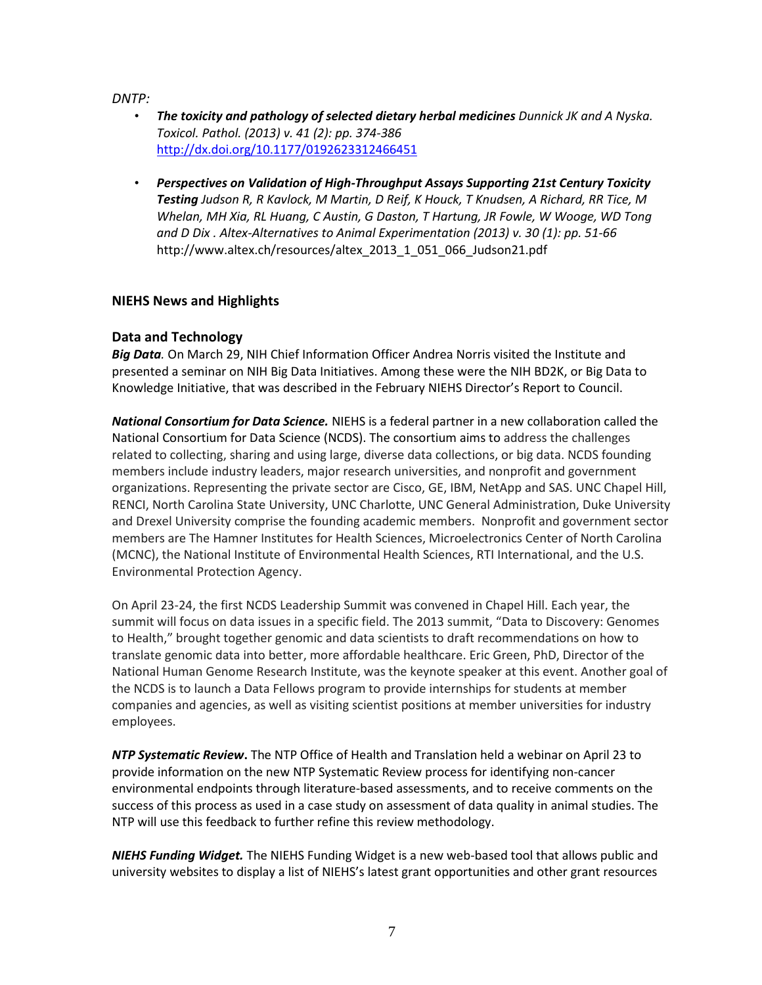*DNTP:* 

- The toxicity and pathology of selected dietary herbal medicines Dunnick JK and A Nyska.  *Toxicol. Pathol. (2013) v. 41 (2): pp. 374-386*  <http://dx.doi.org/10.1177/0192623312466451>
- *Testing Judson R, R Kavlock, M Martin, D Reif, K Houck, T Knudsen, A Richard, RR Tice, M Whelan, MH Xia, RL Huang, C Austin, G Daston, T Hartung, JR Fowle, W Wooge, WD Tong and D Dix . Altex-Alternatives to Animal Experimentation (2013) v. 30 (1): pp. 51-66*  • *Perspectives on Validation of High-Throughput Assays Supporting 21st Century Toxicity*  http://www.altex.ch/resources/altex\_2013\_1\_051\_066\_Judson21.pdf

## **NIEHS News and Highlights**

## **Data and Technology**

 *Big Data.* On March 29, NIH Chief Information Officer Andrea Norris visited the Institute and presented a seminar on NIH Big Data Initiatives. Among these were the NIH BD2K, or Big Data to Knowledge Initiative, that was described in the February NIEHS Director's Report to Council.

 National Consortium for Data Science (NCDS). The consortium aims to address the challenges related to collecting, sharing and using large, diverse data collections, or big data. NCDS founding and Drexel University comprise the founding academic members. Nonprofit and government sector Environmental Protection Agency. *National Consortium for Data Science.* NIEHS is a federal partner in a new collaboration called the members include industry leaders, major research universities, and nonprofit and government organizations. Representing the private sector are Cisco, GE, IBM, NetApp and SAS. UNC Chapel Hill, RENCI, North Carolina State University, UNC Charlotte, UNC General Administration, Duke University members are The Hamner Institutes for Health Sciences, Microelectronics Center of North Carolina (MCNC), the National Institute of Environmental Health Sciences, RTI International, and the U.S.

 summit will focus on data issues in a specific field. The 2013 summit, "Data to Discovery: Genomes On April 23-24, the first NCDS Leadership Summit was convened in Chapel Hill. Each year, the to Health," brought together genomic and data scientists to draft recommendations on how to translate genomic data into better, more affordable healthcare. Eric Green, PhD, Director of the National Human Genome Research Institute, was the keynote speaker at this event. Another goal of the NCDS is to launch a Data Fellows program to provide internships for students at member companies and agencies, as well as visiting scientist positions at member universities for industry employees.

 environmental endpoints through literature-based assessments, and to receive comments on the NTP will use this feedback to further refine this review methodology. *NTP Systematic Review***.** The NTP Office of Health and Translation held a webinar on April 23 to provide information on the new NTP Systematic Review process for identifying non-cancer success of this process as used in a case study on assessment of data quality in animal studies. The

 *NIEHS Funding Widget.* The NIEHS Funding Widget is a new web-based tool that allows public and university websites to display a list of NIEHS's latest grant opportunities and other grant resources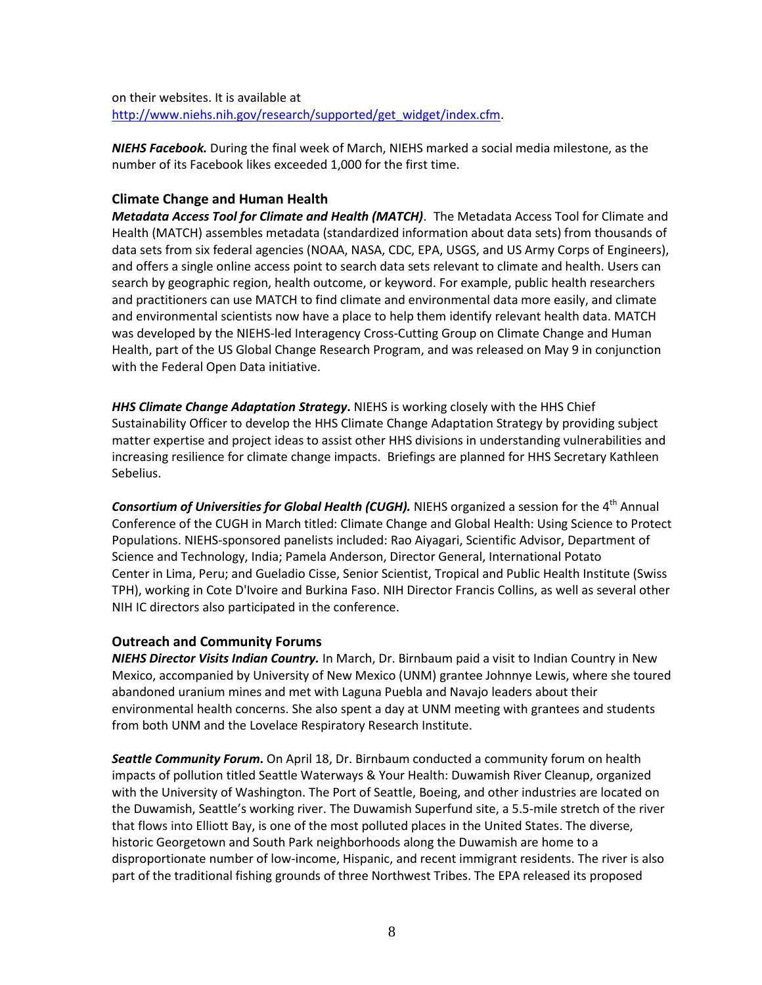on their websites. It is available at [http://www.niehs.nih.gov/research/supported/get\\_widget/index.cfm.](http://www.niehs.nih.gov/research/supported/get_widget/index.cfm)

 *NIEHS Facebook.* During the final week of March, NIEHS marked a social media milestone, as the number of its Facebook likes exceeded 1,000 for the first time.

#### **Climate Change and Human Health**

 *Metadata Access Tool for Climate and Health (MATCH)*. The Metadata Access Tool for Climate and data sets from six federal agencies (NOAA, NASA, CDC, EPA, USGS, and US Army Corps of Engineers), search by geographic region, health outcome, or keyword. For example, public health researchers and practitioners can use MATCH to find climate and environmental data more easily, and climate was developed by the NIEHS-led Interagency Cross-Cutting Group on Climate Change and Human Health, part of the US Global Change Research Program, and was released on May 9 in conjunction Health (MATCH) assembles metadata (standardized information about data sets) from thousands of and offers a single online access point to search data sets relevant to climate and health. Users can and environmental scientists now have a place to help them identify relevant health data. MATCH with the Federal Open Data initiative.

 *HHS Climate Change Adaptation Strategy***.** NIEHS is working closely with the HHS Chief Sustainability Officer to develop the HHS Climate Change Adaptation Strategy by providing subject matter expertise and project ideas to assist other HHS divisions in understanding vulnerabilities and increasing resilience for climate change impacts. Briefings are planned for HHS Secretary Kathleen Sebelius.

 Conference of the CUGH in March titled: Climate Change and Global Health: Using Science to Protect **Consortium of Universities for Global Health (CUGH).** NIEHS organized a session for the 4<sup>th</sup> Annual Populations. NIEHS-sponsored panelists included: Rao Aiyagari, Scientific Advisor, Department of Science and Technology, India; Pamela Anderson, Director General, International Potato Center in Lima, Peru; and Gueladio Cisse, Senior Scientist, Tropical and Public Health Institute (Swiss TPH), working in Cote D'Ivoire and Burkina Faso. NIH Director Francis Collins, as well as several other NIH IC directors also participated in the conference.

#### **Outreach and Community Forums**

 *NIEHS Director Visits Indian Country.* In March, Dr. Birnbaum paid a visit to Indian Country in New abandoned uranium mines and met with Laguna Puebla and Navajo leaders about their environmental health concerns. She also spent a day at UNM meeting with grantees and students from both UNM and the Lovelace Respiratory Research Institute. Mexico, accompanied by University of New Mexico (UNM) grantee Johnnye Lewis, where she toured

 *Seattle Community Forum***.** On April 18, Dr. Birnbaum conducted a community forum on health with the University of Washington. The Port of Seattle, Boeing, and other industries are located on historic Georgetown and South Park neighborhoods along the Duwamish are home to a part of the traditional fishing grounds of three Northwest Tribes. The EPA released its proposed impacts of pollution titled Seattle Waterways & Your Health: Duwamish River Cleanup, organized the Duwamish, Seattle's working river. The Duwamish Superfund site, a 5.5-mile stretch of the river that flows into Elliott Bay, is one of the most polluted places in the United States. The diverse, disproportionate number of low-income, Hispanic, and recent immigrant residents. The river is also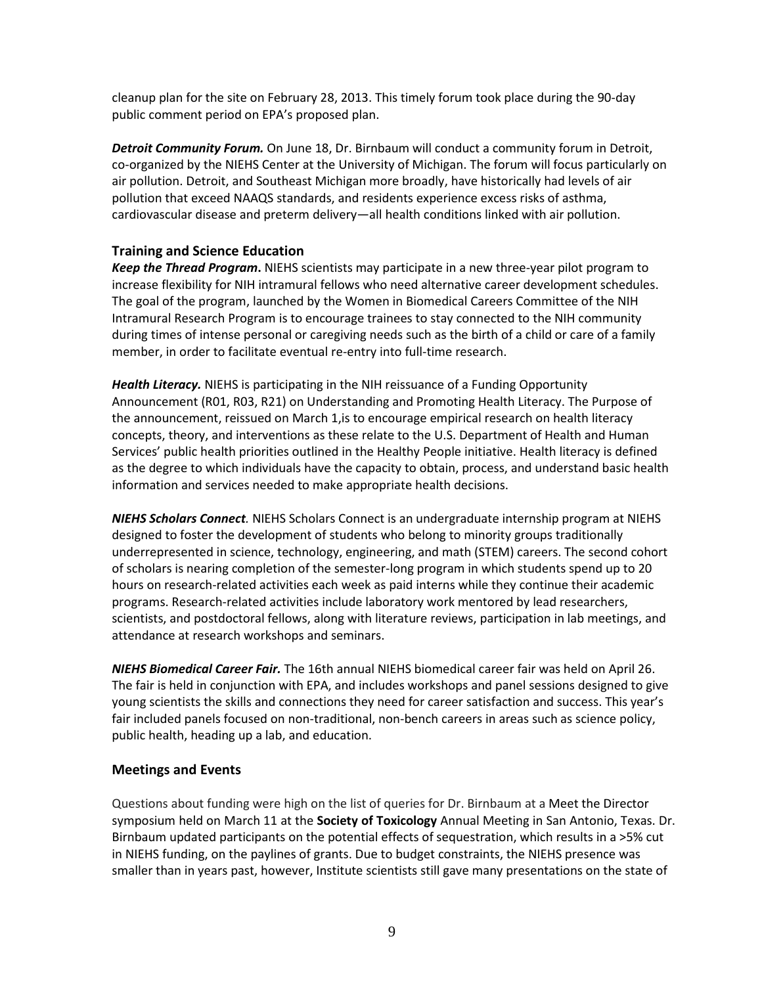cleanup plan for the site on February 28, 2013. This timely forum took place during the 90-day public comment period on EPA's proposed plan.

 pollution that exceed NAAQS standards, and residents experience excess risks of asthma, cardiovascular disease and preterm delivery—all health conditions linked with air pollution. *Detroit Community Forum.* On June 18, Dr. Birnbaum will conduct a community forum in Detroit, co-organized by the NIEHS Center at the University of Michigan. The forum will focus particularly on air pollution. Detroit, and Southeast Michigan more broadly, have historically had levels of air

## **Training and Science Education**

 increase flexibility for NIH intramural fellows who need alternative career development schedules. during times of intense personal or caregiving needs such as the birth of a child or care of a family *Keep the Thread Program***.** NIEHS scientists may participate in a new three-year pilot program to The goal of the program, launched by the Women in Biomedical Careers Committee of the NIH Intramural Research Program is to encourage trainees to stay connected to the NIH community member, in order to facilitate eventual re-entry into full-time research.

 Announcement (R01, R03, R21) on Understanding and Promoting Health Literacy. The Purpose of *Health Literacy.* NIEHS is participating in the NIH reissuance of a Funding Opportunity the announcement, reissued on March 1,is to encourage empirical research on health literacy concepts, theory, and interventions as these relate to the U.S. Department of Health and Human Services' public health priorities outlined in the Healthy People initiative. Health literacy is defined as the degree to which individuals have the capacity to obtain, process, and understand basic health information and services needed to make appropriate health decisions.

 hours on research-related activities each week as paid interns while they continue their academic programs. Research-related activities include laboratory work mentored by lead researchers, *NIEHS Scholars Connect.* NIEHS Scholars Connect is an undergraduate internship program at NIEHS designed to foster the development of students who belong to minority groups traditionally underrepresented in science, technology, engineering, and math (STEM) careers. The second cohort of scholars is nearing completion of the semester-long program in which students spend up to 20 scientists, and postdoctoral fellows, along with literature reviews, participation in lab meetings, and attendance at research workshops and seminars.

 The fair is held in conjunction with EPA, and includes workshops and panel sessions designed to give young scientists the skills and connections they need for career satisfaction and success. This year's *NIEHS Biomedical Career Fair.* The 16th annual NIEHS biomedical career fair was held on April 26. fair included panels focused on non-traditional, non-bench careers in areas such as science policy, public health, heading up a lab, and education.

## **Meetings and Events**

 Questions about funding were high on the list of queries for Dr. Birnbaum at a Meet the Director symposium held on March 11 at the **Society of Toxicology** Annual Meeting in San Antonio, Texas. Dr. smaller than in years past, however, Institute scientists still gave many presentations on the state of Birnbaum updated participants on the potential effects of sequestration, which results in a >5% cut in NIEHS funding, on the paylines of grants. Due to budget constraints, the NIEHS presence was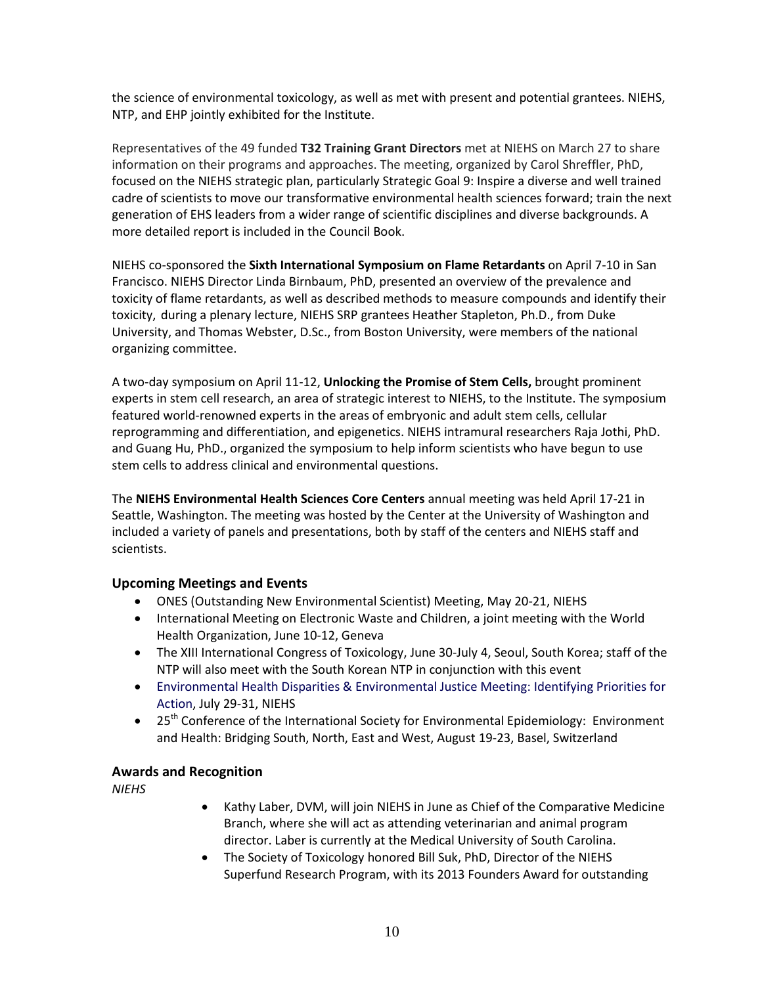the science of environmental toxicology, as well as met with present and potential grantees. NIEHS, NTP, and EHP jointly exhibited for the Institute.

NTP, and EHP jointly exhibited for the Institute.<br>Representatives of the 49 funded **T32 Training Grant Directors** met at NIEHS on March 27 to share information on their programs and approaches. The meeting, organized by Carol Shreffler, PhD, focused on the NIEHS strategic plan, particularly Strategic Goal 9: Inspire a diverse and well trained cadre of scientists to move our transformative environmental health sciences forward; train the next generation of EHS leaders from a wider range of scientific disciplines and diverse backgrounds. A more detailed report is included in the Council Book.

 Francisco. NIEHS Director Linda Birnbaum, PhD, presented an overview of the prevalence and toxicity of flame retardants, as well as described methods to measure compounds and identify their University, and Thomas Webster, D.Sc., from Boston University, were members of the national organizing committee. NIEHS co-sponsored the **Sixth International Symposium on Flame Retardants** on April 7-10 in San toxicity, during a plenary lecture, NIEHS SRP grantees Heather Stapleton, Ph.D., from Duke

 reprogramming and differentiation, and epigenetics. NIEHS intramural researchers Raja Jothi, PhD. A two-day symposium on April 11-12, **Unlocking the Promise of Stem Cells,** brought prominent experts in stem cell research, an area of strategic interest to NIEHS, to the Institute. The symposium featured world-renowned experts in the areas of embryonic and adult stem cells, cellular and Guang Hu, PhD., organized the symposium to help inform scientists who have begun to use stem cells to address clinical and environmental questions.

 scientists. The **NIEHS Environmental Health Sciences Core Centers** annual meeting was held April 17-21 in Seattle, Washington. The meeting was hosted by the Center at the University of Washington and included a variety of panels and presentations, both by staff of the centers and NIEHS staff and

## **Upcoming Meetings and Events**

- ONES (Outstanding New Environmental Scientist) Meeting, May 20-21, NIEHS
- International Meeting on Electronic Waste and Children, a joint meeting with the World Health Organization, June 10-12, Geneva
- NTP will also meet with the South Korean NTP in conjunction with this event • The XIII International Congress of Toxicology, June 30-July 4, Seoul, South Korea; staff of the
- • [Environmental Health Disparities & Environmental Justice Meeting: Identifying Priorities for](http://www.niehs.nih.gov/about/visiting/events/highlight/environmental/index.cfm)  [Action,](http://www.niehs.nih.gov/about/visiting/events/highlight/environmental/index.cfm) July 29-31, NIEHS
- $\bullet$  25<sup>th</sup> Conference of the International Society for Environmental Epidemiology: Environment and Health: Bridging South, North, East and West, August 19-23, Basel, Switzerland

## **Awards and Recognition**

*NIEHS* 

- Kathy Laber, DVM, will join NIEHS in June as Chief of the Comparative Medicine director. Laber is currently at the Medical University of South Carolina. Branch, where she will act as attending veterinarian and animal program
- Superfund Research Program, with its 2013 Founders Award for outstanding • The Society of Toxicology honored Bill Suk, PhD, Director of the NIEHS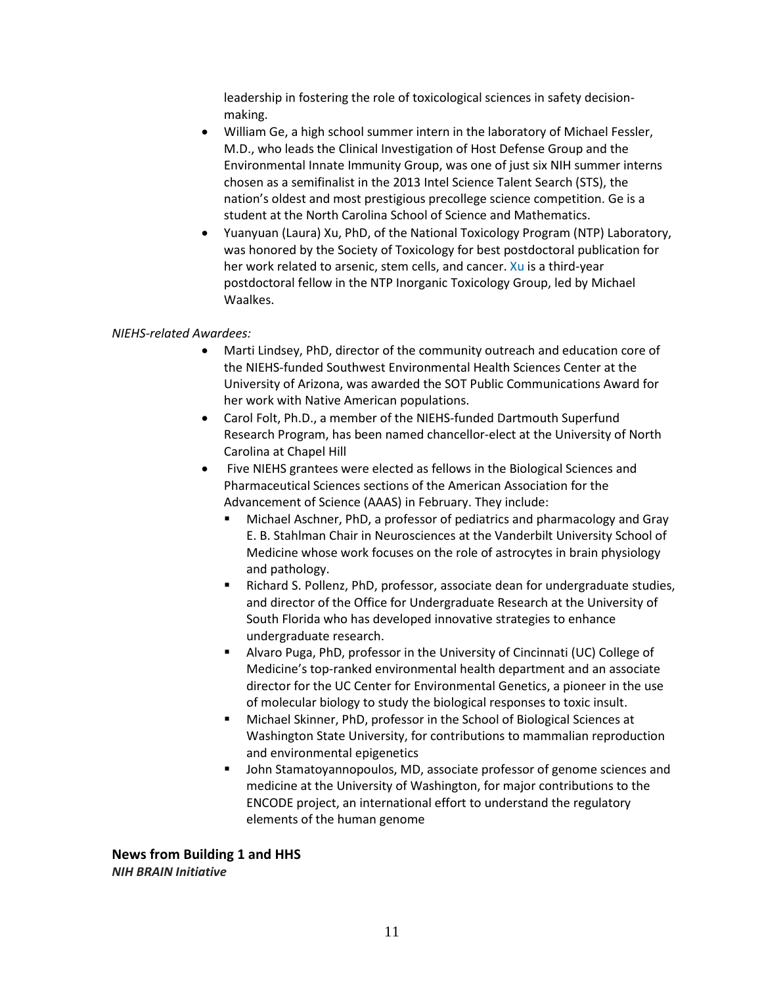leadership in fostering the role of toxicological sciences in safety decisionmaking.

- nation's oldest and most prestigious precollege science competition. Ge is a • William Ge, a high school summer intern in the laboratory of [Michael Fessler,](http://www.niehs.nih.gov/research/atniehs/labs/lrb/host-def/index.cfm)  [M.D.,](http://www.niehs.nih.gov/research/atniehs/labs/lrb/host-def/index.cfm) who leads the Clinical Investigation of Host Defense Group and the Environmental Innate Immunity Group, was one of just six NIH summer interns chosen as a semifinalist in the 201[3 Intel Science Talent Search \(STS\),](http://www.societyforscience.org/sts/) the student at the North Carolina School of Science and Mathematics.
- • Yuanyuan (Laura) Xu, PhD, of the National Toxicology Program (NTP) Laboratory, her work related to arsenic, stem cells, and cancer. [Xu i](http://www.niehs.nih.gov/research/atniehs/labs/ntp/icg/staff/index.cfm)s a third-year was honored by the Society of Toxicology for best postdoctoral publication for postdoctoral fellow in the NTP Inorganic Toxicology Group, led by Michael Waalkes.

#### *NIEHS-related Awardees:*

- Marti Lindsey, PhD, director of the community outreach and education core of the NIEHS-funded Southwest Environmental Health Sciences Center at the University of Arizona, was awarded the SOT Public Communications Award for her work with Native American populations.
- Carol Folt, Ph.D., a member of the NIEHS-funded Dartmouth Superfund Research Program, has been named chancellor-elect at the University of North Carolina at Chapel Hill
- Five NIEHS grantees were elected as fellows in the Biological Sciences and Pharmaceutical Sciences sections of the American Association for the Advancement of Science (AAAS) in February. They include:
	- Medicine whose work focuses on the role of astrocytes in brain physiology Michael Aschner, PhD, a professor of pediatrics and pharmacology and Gray E. B. Stahlman Chair in Neurosciences at the Vanderbilt University School of and pathology.
	- undergraduate research. Richard S. Pollenz, PhD, professor, associate dean for undergraduate studies, and director of the Office for Undergraduate Research at the University of South Florida who has developed innovative strategies to enhance
	- Alvaro Puga, PhD, professor in the University of Cincinnati (UC) College of Medicine's top-ranked environmental health department and an associate director for the UC Center for Environmental Genetics, a pioneer in the use of molecular biology to study the biological responses to toxic insult.
	- Michael Skinner, PhD, professor in the School of Biological Sciences at Washington State University, for contributions to mammalian reproduction and environmental epigenetics
	- **John Stamatoyannopoulos, MD, associate professor of genome sciences and**  elements of the human genome medicine at the University of Washington, for major contributions to the ENCODE project, an international effort to understand the regulatory

**News from Building 1 and HHS**  *NIH BRAIN Initiative*